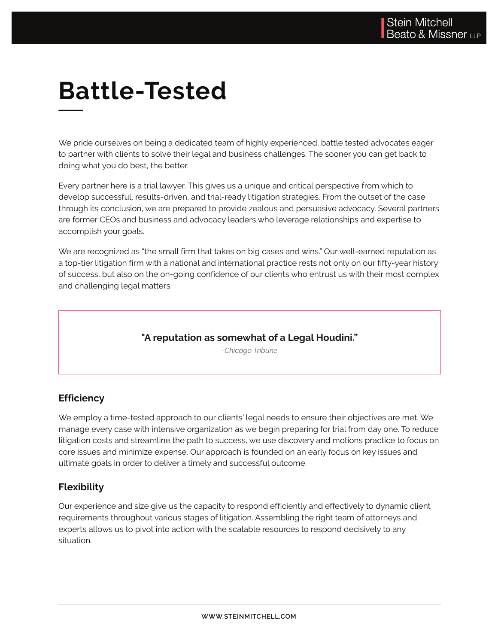# **Battle-Tested**

We pride ourselves on being a dedicated team of highly experienced, battle tested advocates eager to partner with clients to solve their legal and business challenges. The sooner you can get back to doing what you do best, the better.

Every partner here is a trial lawyer. This gives us a unique and critical perspective from which to *-Chicago Tribune* develop successful, results-driven, and trial-ready litigation strategies. From the outset of the case From the outset of the case through its conclusion, we are prepared to provide zealous and persuasive advocacy. Several partners are former CEOs and business and advocacy leaders who leverage relationships and expertise to accomplish your goals.

We are recognized as "the small firm that takes on big cases and wins." Our well-earned reputation as a top-tier litigation firm with a national and international practice rests not only on our fifty-year history of success, but also on the on-going confidence of our clients who entrust us with their most complex and challenging legal matters.  $\hspace{0.1mm}$ 

#### **"A reputation as somewhat of a Legal Houdini."**

*-Chicago Tribune*

### **Efficiency**

We employ a time-tested approach to our clients' legal needs to ensure their objectives are met. We manage every case with intensive organization as we begin preparing for trial from day one. To reduce litigation costs and streamline the path to success, we use discovery and motions practice to focus on core issues and minimize expense. Our approach is founded on an early focus on key issues and ultimate goals in order to deliver a timely and successful outcome.

### **Flexibility**

Our experience and size give us the capacity to respond efficiently and effectively to dynamic client requirements throughout various stages of litigation. Assembling the right team of attorneys and experts allows us to pivot into action with the scalable resources to respond decisively to any situation.